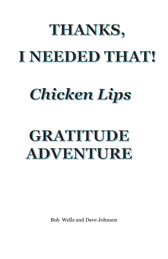# THANKS, INEEDED THAT

## **Chicken Lips**

## GRATITUDE **ADVENTURE**

Bob Wells and Dave Johnson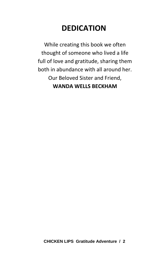## **DEDICATION**

While creating this book we often thought of someone who lived a life full of love and gratitude, sharing them both in abundance with all around her. Our Beloved Sister and Friend, **WANDA WELLS BECKHAM**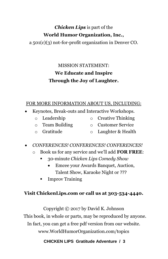## *Chicken Lips* is part of the **World Humor Organization, Inc.,**

a 501(c)(3) not-for-profit organization in Denver CO.

## MISSION STATEMENT: **We Educate and Inspire Through the Joy of Laughter.**

### FOR MORE INFORMATION ABOUT US, INCLUDING:

- Keynotes, Break-outs and Interactive Workshops.
	- o Leadership
- o Creative Thinking
- o Team Building
- o Customer Service
- o Gratitude
- o Laughter & Health
- *CONFERENCES! CONFERENCES! CONFERENCES!*
	- o Book us for any service and we'll add **FOR FREE**:
		- 30-minute *Chicken Lips Comedy Show*
			- Emcee your Awards Banquet, Auction, Talent Show, Karaoke Night or ???
		- Improv Training

## **Visit ChickenLips.com or call us at 303-534-4440.**

Copyright © 2017 by David K. Johnson This book, in whole or parts, may be reproduced by anyone. In fact, you can get a free pdf version from our website. www.WorldHumorOrganization.com/topics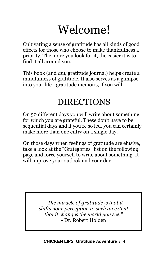## Welcome!

Cultivating a sense of gratitude has all kinds of good effects for those who choose to make thankfulness a priority. The more you look for it, the easier it is to find it all around you.

This book (and *any* gratitude journal) helps create a mindfulness of gratitude. It also serves as a glimpse into your life - gratitude memoirs, if you will.

## DIRECTIONS

On 50 different days you will write about something for which you are grateful. These don't have to be sequential days and if you're so led, you can certainly make more than one entry on a single day.

On those days when feelings of gratitude are elusive, take a look at the "Grategories" list on the following page and force yourself to write about something. It will improve your outlook and your day!

> *" The miracle of gratitude is that it shifts your perception to such an extent that it changes the world you see." -* Dr. Robert Holden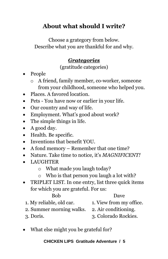## **About what should I write?**

Choose a grategory from below. Describe what you are thankful for and why.

## *Grategories*

(gratitude categories)

- People
	- o A friend, family member, co-worker, someone from your childhood, someone who helped you.
- Places. A favored location.
- Pets You have now or earlier in your life.
- Our country and way of life.
- Employment. What's good about work?
- The simple things in life.
- A good day.
- Health. Be specific.
- Inventions that benefit YOU.
- A fond memory Remember that one time?
- Nature. Take time to notice, it's *MAGNIFICENT!*
- LAUGHTER
	- o What made you laugh today?
	- o Who is that person you laugh a lot with?
- TRIPLET LIST. In one entry, list three quick items for which you are grateful. For us:

#### Bob Dave

- 1. My reliable, old car. 1. View from my office.
- 2. Summer morning walks. 2. Air conditioning.
- 

3. Doris.

What else might you be grateful for?

<sup>3.</sup> Colorado Rockies.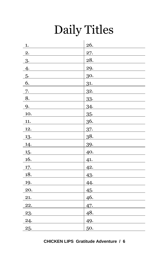## Daily Titles

| 1.                 | 26.        |
|--------------------|------------|
| 2.                 | 27.        |
| 3.                 | 28.        |
| 4.                 | 29.        |
| 5.                 | <u>30.</u> |
| 6.                 | 31.        |
| 7.                 | 32.        |
| 8.                 | 33.        |
| 9.                 | 34.        |
| 10.                | 35.        |
| 11.                | 36.        |
| 12.                | 37.        |
| 13.                | 38.        |
| <u>14.</u>         | 39.        |
| <u>15.</u>         | 40.        |
| $\underline{16}$ . | 41.        |
| 17.                | 42.        |
| $\underline{18}$ . | 43.        |
| 19.                | 44.        |
| 20.                | 45.        |
| 21.                | 46.        |
| 22.                | 47.        |
| 23.                | 48.        |
| 24.                | 49.        |
| 25.                | 50.        |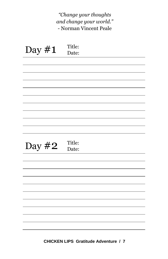## *"Change your thoughts and change your world."* - Norman Vincent Peale

| Day $#1$ | Title:<br>Date: |
|----------|-----------------|
|          |                 |
|          |                 |
|          |                 |
|          |                 |
|          |                 |
|          |                 |
|          |                 |
|          |                 |
|          |                 |
|          |                 |
|          |                 |
| Day $#2$ | Title:<br>Date: |
|          |                 |
|          |                 |
|          |                 |
|          |                 |
|          |                 |
|          |                 |
|          |                 |
|          |                 |
|          |                 |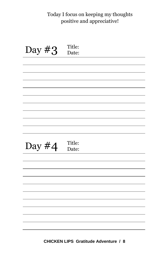## Today I focus on keeping my thoughts positive and appreciative!

| Day $#3$ | Title:<br>Date: |
|----------|-----------------|
|          |                 |
|          |                 |
|          |                 |
|          |                 |
|          |                 |
|          |                 |
|          |                 |
|          |                 |
|          |                 |
|          |                 |
|          |                 |
| Day $#4$ | Title:<br>Date: |
|          |                 |
|          |                 |
|          |                 |
|          |                 |
|          |                 |
|          |                 |
|          |                 |
|          |                 |
|          |                 |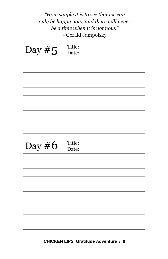|          | "How simple it is to see that we can<br>only be happy now, and there will never<br>be a time when it is not now."<br>- Gerald Jampolsky |
|----------|-----------------------------------------------------------------------------------------------------------------------------------------|
| Day $#5$ | Title:<br>Date:                                                                                                                         |
|          |                                                                                                                                         |
|          |                                                                                                                                         |
|          |                                                                                                                                         |
|          |                                                                                                                                         |
|          |                                                                                                                                         |
|          |                                                                                                                                         |
|          |                                                                                                                                         |
|          |                                                                                                                                         |
| Day $#6$ | Title:<br>Date:                                                                                                                         |
|          |                                                                                                                                         |
|          |                                                                                                                                         |
|          |                                                                                                                                         |
|          |                                                                                                                                         |
|          |                                                                                                                                         |
|          |                                                                                                                                         |
|          |                                                                                                                                         |
|          |                                                                                                                                         |
|          |                                                                                                                                         |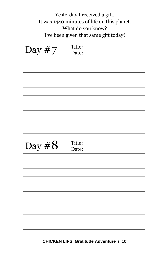| Yesterday I received a gift.                |
|---------------------------------------------|
| It was 1440 minutes of life on this planet. |
| What do you know?                           |
| I've been given that same gift today!       |

| Day #7   | Title:<br>Date: |
|----------|-----------------|
|          |                 |
|          |                 |
|          |                 |
|          |                 |
|          |                 |
|          |                 |
|          |                 |
|          |                 |
|          |                 |
|          |                 |
|          |                 |
| Day $#8$ | Title:<br>Date: |
|          |                 |
|          |                 |
|          |                 |
|          |                 |
|          |                 |
|          |                 |
|          |                 |
|          |                 |
|          |                 |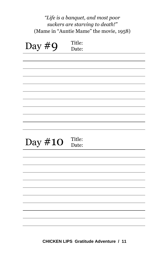|           | "Life is a banquet, and most poor<br>suckers are starving to death!"<br>(Mame in "Auntie Mame" the movie, 1958) |
|-----------|-----------------------------------------------------------------------------------------------------------------|
| Day $#9$  | Title:<br>Date:                                                                                                 |
|           |                                                                                                                 |
|           |                                                                                                                 |
|           |                                                                                                                 |
|           |                                                                                                                 |
| Day $#10$ | Title:<br>Date:                                                                                                 |
|           |                                                                                                                 |
|           |                                                                                                                 |
|           |                                                                                                                 |
|           |                                                                                                                 |
|           |                                                                                                                 |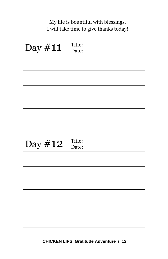## My life is bountiful with blessings. I will take time to give thanks today!

| Day #11 | Title:<br>Date: |
|---------|-----------------|
|         |                 |
|         |                 |
|         |                 |
|         |                 |
|         |                 |
|         |                 |
|         |                 |
|         |                 |
|         |                 |
|         |                 |
|         |                 |
| Day #12 | Title:<br>Date: |
|         |                 |
|         |                 |
|         |                 |
|         |                 |
|         |                 |
|         |                 |
|         |                 |
|         |                 |
|         |                 |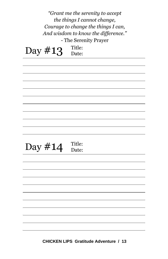|            | "Grant me the serenity to accept<br>the things I cannot change,<br>Courage to change the things I can, |
|------------|--------------------------------------------------------------------------------------------------------|
|            | And wisdom to know the difference."<br>- The Serenity Prayer                                           |
| Day $\#13$ | Title:<br>Date:                                                                                        |
|            |                                                                                                        |
|            |                                                                                                        |
|            |                                                                                                        |
|            |                                                                                                        |
| Day #14    | Title:<br>Date:                                                                                        |
|            |                                                                                                        |
|            |                                                                                                        |
|            |                                                                                                        |
|            |                                                                                                        |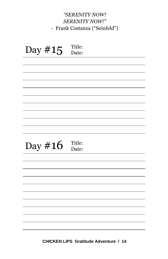## *"SERENITY NOW! SERENITY NOW!"* - Frank Costanza ("Seinfeld")

| Day #15 | Title:<br>Date: |
|---------|-----------------|
|         |                 |
|         |                 |
|         |                 |
|         |                 |
|         |                 |
|         |                 |
|         |                 |
|         |                 |
|         |                 |
|         |                 |
|         |                 |
|         |                 |
|         | Title:          |
| Day #16 | Date:           |
|         |                 |
|         |                 |
|         |                 |
|         |                 |
|         |                 |
|         |                 |
|         |                 |
|         |                 |
|         |                 |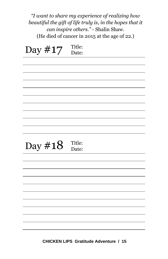*"I want to share my experience of realizing how beautiful the gift of life truly is, in the hopes that it can inspire others."* - Shalin Shaw. (He died of cancer in 2015 at the age of 22.)

| Day #17 | Title:<br>Date: |
|---------|-----------------|
|         |                 |
|         |                 |
|         |                 |
|         |                 |
|         |                 |
|         |                 |
|         |                 |
|         | Title:          |
| Day #18 | Date:           |
|         |                 |
|         |                 |
|         |                 |
|         |                 |
|         |                 |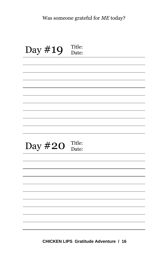| Day #19 | Title:<br>Date: |
|---------|-----------------|
|         |                 |
|         |                 |
|         |                 |
|         |                 |
|         |                 |
|         |                 |
|         |                 |
|         |                 |
|         |                 |
|         |                 |
|         |                 |
| Day #20 | Title:<br>Date: |
|         |                 |
|         |                 |
|         |                 |
|         |                 |
|         |                 |
|         |                 |
|         |                 |
|         |                 |
|         |                 |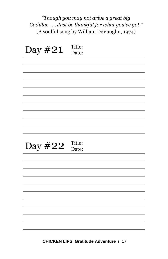*"Though you may not drive a great big Cadillac . . . Just be thankful for what you've got."* (A soulful song by William DeVaughn, 1974)

| Day #21 | Title:<br>Date: |
|---------|-----------------|
|         |                 |
|         |                 |
|         |                 |
|         |                 |
|         |                 |
|         |                 |
|         |                 |
|         |                 |
|         |                 |
|         |                 |
|         |                 |
| Day #22 | Title:<br>Date: |
|         |                 |
|         |                 |
|         |                 |
|         |                 |
|         |                 |
|         |                 |
|         |                 |
|         |                 |
|         |                 |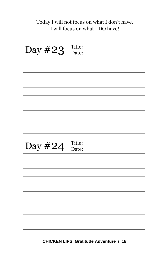## Today I will not focus on what I don't have. I will focus on what I DO have!

Day  $#23$ Title:<br>Date: Day  $\#24$  Title: Date: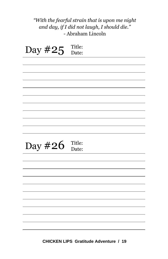## *"With the fearful strain that is upon me night and day, if I did not laugh, I should die."* - Abraham Lincoln

| Day #25 | Title:<br>Date: |
|---------|-----------------|
|         |                 |
|         |                 |
|         |                 |
|         |                 |
|         |                 |
|         |                 |
|         |                 |
| Day #26 | Title:<br>Date: |
|         |                 |
|         |                 |
|         |                 |
|         |                 |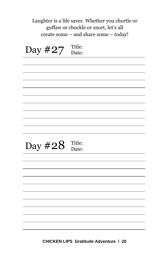Laughter is a life saver. Whether you chortle or guffaw or chuckle or snort, let's all create some – and share some – today!

Day  $\#27$  Title: Date: Day  $#28$  Title: Date: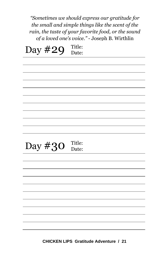*"Sometimes we should express our gratitude for the small and simple things like the scent of the rain, the taste of your favorite food, or the sound of a loved one's voice."* - Joseph B. Wirthlin

| Day #29 | Title: |
|---------|--------|
|         | Date:  |
|         |        |
|         |        |
|         |        |
|         |        |
|         |        |
|         |        |
|         |        |
|         |        |
|         |        |
|         |        |
|         |        |
|         |        |
|         | Title: |
| Day #30 | Date:  |
|         |        |
|         |        |
|         |        |
|         |        |
|         |        |
|         |        |
|         |        |
|         |        |
|         |        |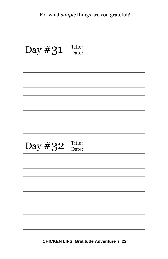| Day #31 | Title:<br>Date: |
|---------|-----------------|
|         |                 |
|         |                 |
|         |                 |
|         |                 |
|         |                 |
|         |                 |
|         |                 |
|         |                 |
|         |                 |
| Day #32 | Title:<br>Date: |
|         |                 |
|         |                 |
|         |                 |
|         |                 |
|         |                 |
|         |                 |
|         |                 |
|         |                 |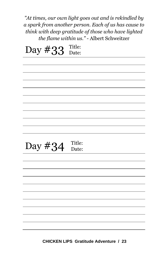*"At times, our own light goes out and is rekindled by a spark from another person. Each of us has cause to think with deep gratitude of those who have lighted the flame within us." -* Albert Schweitzer

| Day #33 | Title: |
|---------|--------|
|         | Date:  |
|         |        |
|         |        |
|         |        |
|         |        |
|         |        |
|         |        |
|         |        |
|         |        |
|         |        |
|         |        |
|         |        |
|         |        |
|         | Title: |
| Day #34 | Date:  |
|         |        |
|         |        |
|         |        |
|         |        |
|         |        |
|         |        |
|         |        |
|         |        |
|         |        |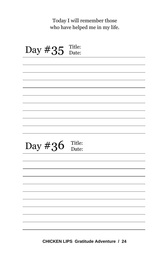Today I will remember those who have helped me in my life.

| Day #35 | Title:<br>Date: |
|---------|-----------------|
|         |                 |
|         |                 |
|         |                 |
|         |                 |
|         |                 |
|         |                 |
|         |                 |
|         |                 |
| Day #36 | Title:<br>Date: |
|         |                 |
|         |                 |
|         |                 |
|         |                 |
|         |                 |
|         |                 |
|         |                 |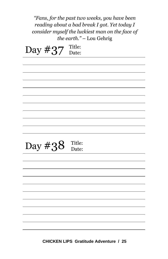| "Fans, for the past two weeks, you have been<br>reading about a bad break I got. Yet today I<br>consider myself the luckiest man on the face of<br>the earth." - Lou Gehrig |                 |  |
|-----------------------------------------------------------------------------------------------------------------------------------------------------------------------------|-----------------|--|
| Day $\#37$                                                                                                                                                                  | Title:<br>Date: |  |
|                                                                                                                                                                             |                 |  |
|                                                                                                                                                                             |                 |  |
|                                                                                                                                                                             |                 |  |
|                                                                                                                                                                             |                 |  |
|                                                                                                                                                                             |                 |  |
| Day #38                                                                                                                                                                     | Title:<br>Date: |  |
|                                                                                                                                                                             |                 |  |
|                                                                                                                                                                             |                 |  |
|                                                                                                                                                                             |                 |  |
|                                                                                                                                                                             |                 |  |
|                                                                                                                                                                             |                 |  |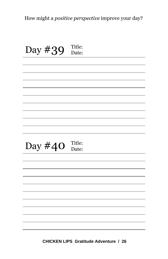How might a *positive perspective* improve your day?

| Day #39 | Title:<br>Date: |
|---------|-----------------|
|         |                 |
|         |                 |
|         |                 |
|         |                 |
|         |                 |
|         |                 |
|         |                 |
|         |                 |
|         |                 |
|         |                 |
|         |                 |
| Day #40 | Title:<br>Date: |
|         |                 |
|         |                 |
|         |                 |
|         |                 |
|         |                 |
|         |                 |
|         |                 |
|         |                 |
|         |                 |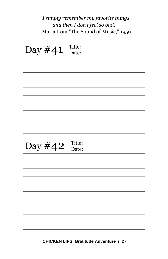| "I simply remember my favorite things   |
|-----------------------------------------|
| and then I don't feel so bad."          |
| - Maria from "The Sound of Music," 1959 |

| Day #41 | Title:<br>Date: |
|---------|-----------------|
|         |                 |
|         |                 |
|         |                 |
|         |                 |
|         |                 |
|         |                 |
|         |                 |
|         |                 |
|         |                 |
|         |                 |
|         |                 |
| Day #42 | Title:<br>Date: |
|         |                 |
|         |                 |
|         |                 |
|         |                 |
|         |                 |
|         |                 |
|         |                 |
|         |                 |
|         |                 |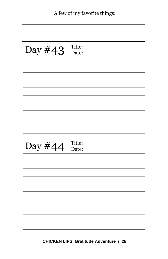|  |  |  |  | A few of my favorite things: |
|--|--|--|--|------------------------------|
|--|--|--|--|------------------------------|

| Day #43 | Title: |
|---------|--------|
|         | Date:  |
|         |        |
|         |        |
|         |        |
|         |        |
|         |        |
|         |        |
|         |        |
|         |        |
|         |        |
|         |        |
|         | Title: |
| Day #44 | Date:  |
|         |        |
|         |        |
|         |        |
|         |        |
|         |        |
|         |        |
|         |        |
|         |        |
|         |        |
|         |        |
|         |        |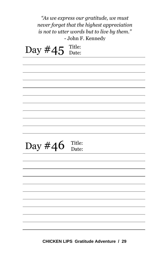| "As we express our gratitude, we must       |  |
|---------------------------------------------|--|
| never forget that the highest appreciation  |  |
| is not to utter words but to live by them." |  |
| - John F. Kennedy                           |  |
| Title:                                      |  |
| Day #45<br>Date:                            |  |
|                                             |  |
|                                             |  |
|                                             |  |
|                                             |  |
|                                             |  |
|                                             |  |
|                                             |  |
|                                             |  |
|                                             |  |
|                                             |  |
|                                             |  |
|                                             |  |
| Title:<br>Day #46                           |  |
| Date:                                       |  |
|                                             |  |
|                                             |  |
|                                             |  |
|                                             |  |
|                                             |  |
|                                             |  |
|                                             |  |
|                                             |  |
|                                             |  |
|                                             |  |
|                                             |  |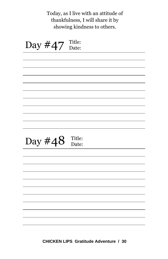Today, as I live with an attitude of thankfulness, I will share it by showing kindness to others.

Day  $#47$  Title: Day  $\#48$  Title: Date: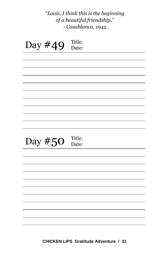Day  $#49$  Title: Date: Day  $#50$  Title: Date: *"Louis, I think this is the beginning of a beautiful friendship." - Casablanca*, 1942